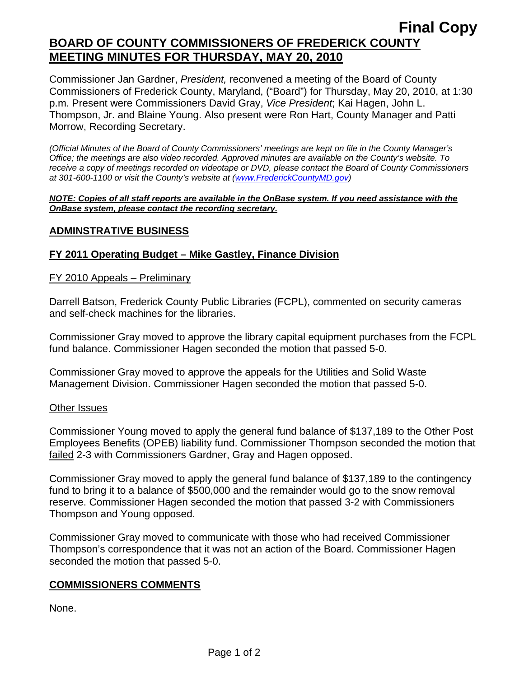# **Final Copy BOARD OF COUNTY COMMISSIONERS OF FREDERICK COUNTY MEETING MINUTES FOR THURSDAY, MAY 20, 2010**

Commissioner Jan Gardner, *President,* reconvened a meeting of the Board of County Commissioners of Frederick County, Maryland, ("Board") for Thursday, May 20, 2010, at 1:30 p.m. Present were Commissioners David Gray, *Vice President*; Kai Hagen, John L. Thompson, Jr. and Blaine Young. Also present were Ron Hart, County Manager and Patti Morrow, Recording Secretary.

*(Official Minutes of the Board of County Commissioners' meetings are kept on file in the County Manager's Office; the meetings are also video recorded. Approved minutes are available on the County's website. To receive a copy of meetings recorded on videotape or DVD, please contact the Board of County Commissioners at 301-600-1100 or visit the County's website at ([www.FrederickCountyMD.gov](http://www.frederickcountymd.gov/))* 

#### *NOTE: Copies of all staff reports are available in the OnBase system. If you need assistance with the OnBase system, please contact the recording secretary.*

#### **ADMINSTRATIVE BUSINESS**

## **FY 2011 Operating Budget – Mike Gastley, Finance Division**

#### FY 2010 Appeals – Preliminary

Darrell Batson, Frederick County Public Libraries (FCPL), commented on security cameras and self-check machines for the libraries.

Commissioner Gray moved to approve the library capital equipment purchases from the FCPL fund balance. Commissioner Hagen seconded the motion that passed 5-0.

Commissioner Gray moved to approve the appeals for the Utilities and Solid Waste Management Division. Commissioner Hagen seconded the motion that passed 5-0.

#### Other Issues

Commissioner Young moved to apply the general fund balance of \$137,189 to the Other Post Employees Benefits (OPEB) liability fund. Commissioner Thompson seconded the motion that failed 2-3 with Commissioners Gardner, Gray and Hagen opposed.

Commissioner Gray moved to apply the general fund balance of \$137,189 to the contingency fund to bring it to a balance of \$500,000 and the remainder would go to the snow removal reserve. Commissioner Hagen seconded the motion that passed 3-2 with Commissioners Thompson and Young opposed.

Commissioner Gray moved to communicate with those who had received Commissioner Thompson's correspondence that it was not an action of the Board. Commissioner Hagen seconded the motion that passed 5-0.

#### **COMMISSIONERS COMMENTS**

None.